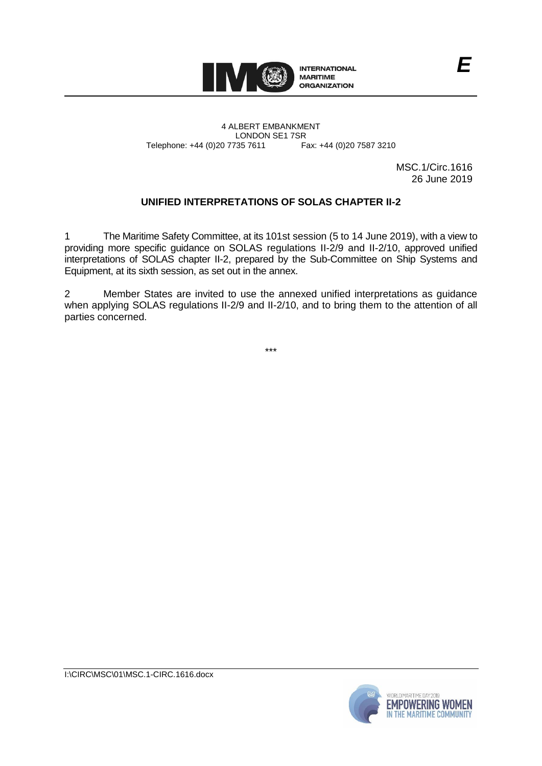

4 ALBERT EMBANKMENT Telephone: +44 (0)20 7735 7611

LONDON SE1 7SR<br>735 7611 Fax: +44 (0)20 7587 3210

MSC.1/Circ.1616 26 June 2019

*E*

# **UNIFIED INTERPRETATIONS OF SOLAS CHAPTER II-2**

1 The Maritime Safety Committee, at its 101st session (5 to 14 June 2019), with a view to providing more specific guidance on SOLAS regulations II-2/9 and II-2/10, approved unified interpretations of SOLAS chapter II-2, prepared by the Sub-Committee on Ship Systems and Equipment, at its sixth session, as set out in the annex.

2 Member States are invited to use the annexed unified interpretations as guidance when applying SOLAS regulations II-2/9 and II-2/10, and to bring them to the attention of all parties concerned.

\*\*\*